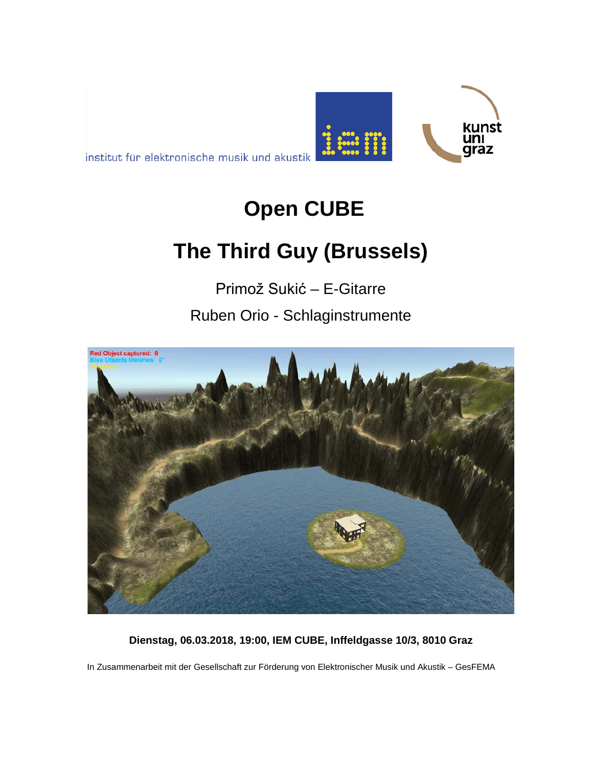



**ED** :

kunst

ını graz

# **The Third Guy (Brussels)**

Primož Sukić – E-Gitarre

Ruben Orio - Schlaginstrumente



**Dienstag, 06.03.2018, 19:00, IEM CUBE, Inffeldgasse 10/3, 8010 Graz**

In Zusammenarbeit mit der Gesellschaft zur Förderung von Elektronischer Musik und Akustik – GesFEMA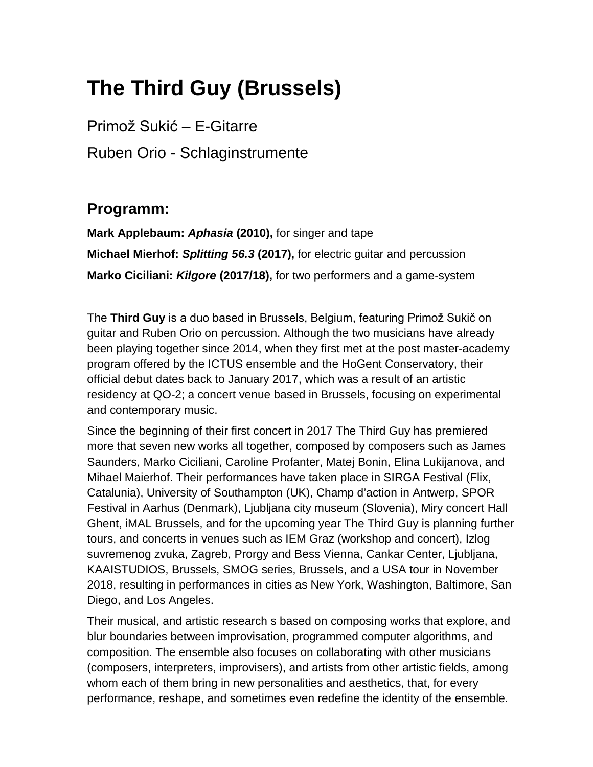## **The Third Guy (Brussels)**

Primož Sukić – E-Gitarre Ruben Orio - Schlaginstrumente

#### **Programm:**

**Mark Applebaum:** *Aphasia* **(2010),** for singer and tape **Michael Mierhof:** *Splitting 56.3* **(2017),** for electric guitar and percussion **Marko Ciciliani:** *Kilgore* **(2017/18),** for two performers and a game-system

The **Third Guy** is a duo based in Brussels, Belgium, featuring Primož Sukič on guitar and Ruben Orio on percussion. Although the two musicians have already been playing together since 2014, when they first met at the post master-academy program offered by the ICTUS ensemble and the HoGent Conservatory, their official debut dates back to January 2017, which was a result of an artistic residency at QO-2; a concert venue based in Brussels, focusing on experimental and contemporary music.

Since the beginning of their first concert in 2017 The Third Guy has premiered more that seven new works all together, composed by composers such as James Saunders, Marko Ciciliani, Caroline Profanter, Matej Bonin, Elina Lukijanova, and Mihael Maierhof. Their performances have taken place in SIRGA Festival (Flix, Catalunia), University of Southampton (UK), Champ d'action in Antwerp, SPOR Festival in Aarhus (Denmark), Ljubljana city museum (Slovenia), Miry concert Hall Ghent, iMAL Brussels, and for the upcoming year The Third Guy is planning further tours, and concerts in venues such as IEM Graz (workshop and concert), Izlog suvremenog zvuka, Zagreb, Prorgy and Bess Vienna, Cankar Center, Ljubljana, KAAISTUDIOS, Brussels, SMOG series, Brussels, and a USA tour in November 2018, resulting in performances in cities as New York, Washington, Baltimore, San Diego, and Los Angeles.

Their musical, and artistic research s based on composing works that explore, and blur boundaries between improvisation, programmed computer algorithms, and composition. The ensemble also focuses on collaborating with other musicians (composers, interpreters, improvisers), and artists from other artistic fields, among whom each of them bring in new personalities and aesthetics, that, for every performance, reshape, and sometimes even redefine the identity of the ensemble.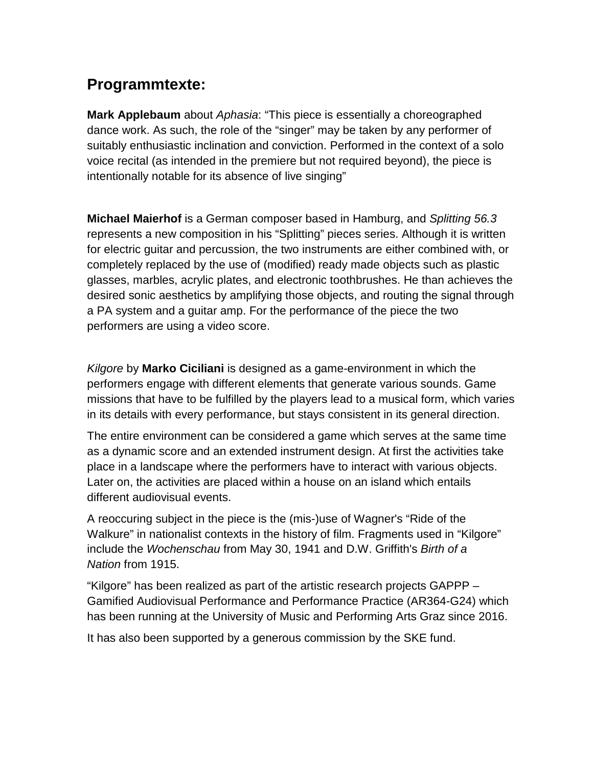### **Programmtexte:**

**Mark Applebaum** about *Aphasia*: "This piece is essentially a choreographed dance work. As such, the role of the "singer" may be taken by any performer of suitably enthusiastic inclination and conviction. Performed in the context of a solo voice recital (as intended in the premiere but not required beyond), the piece is intentionally notable for its absence of live singing"

**Michael Maierhof** is a German composer based in Hamburg, and *Splitting 56.3* represents a new composition in his "Splitting" pieces series. Although it is written for electric guitar and percussion, the two instruments are either combined with, or completely replaced by the use of (modified) ready made objects such as plastic glasses, marbles, acrylic plates, and electronic toothbrushes. He than achieves the desired sonic aesthetics by amplifying those objects, and routing the signal through a PA system and a guitar amp. For the performance of the piece the two performers are using a video score.

*Kilgore* by **Marko Ciciliani** is designed as a game-environment in which the performers engage with different elements that generate various sounds. Game missions that have to be fulfilled by the players lead to a musical form, which varies in its details with every performance, but stays consistent in its general direction.

The entire environment can be considered a game which serves at the same time as a dynamic score and an extended instrument design. At first the activities take place in a landscape where the performers have to interact with various objects. Later on, the activities are placed within a house on an island which entails different audiovisual events.

A reoccuring subject in the piece is the (mis-)use of Wagner's "Ride of the Walkure" in nationalist contexts in the history of film. Fragments used in "Kilgore" include the *Wochenschau* from May 30, 1941 and D.W. Griffith's *Birth of a Nation* from 1915.

"Kilgore" has been realized as part of the artistic research projects GAPPP – Gamified Audiovisual Performance and Performance Practice (AR364-G24) which has been running at the University of Music and Performing Arts Graz since 2016.

It has also been supported by a generous commission by the SKE fund.